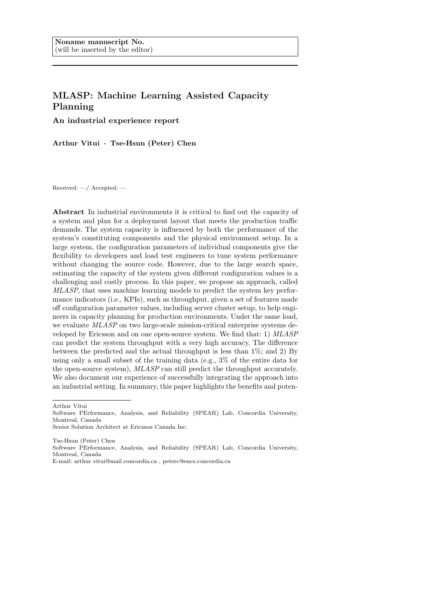# MLASP: Machine Learning Assisted Capacity Planning

An industrial experience report

Arthur Vitui · Tse-Hsun (Peter) Chen

Received: —/ Accepted: —

Abstract In industrial environments it is critical to find out the capacity of a system and plan for a deployment layout that meets the production traffic demands. The system capacity is influenced by both the performance of the system's constituting components and the physical environment setup. In a large system, the configuration parameters of individual components give the flexibility to developers and load test engineers to tune system performance without changing the source code. However, due to the large search space, estimating the capacity of the system given different configuration values is a challenging and costly process. In this paper, we propose an approach, called MLASP, that uses machine learning models to predict the system key performance indicators (i.e., KPIs), such as throughput, given a set of features made off configuration parameter values, including server cluster setup, to help engineers in capacity planning for production environments. Under the same load, we evaluate  $MLASP$  on two large-scale mission-critical enterprise systems developed by Ericsson and on one open-source system. We find that: 1) MLASP can predict the system throughput with a very high accuracy. The difference between the predicted and the actual throughput is less than  $1\%$ ; and 2) By using only a small subset of the training data (e.g., 3% of the entire data for the open-source system), MLASP can still predict the throughput accurately. We also document our experience of successfully integrating the approach into an industrial setting. In summary, this paper highlights the benefits and poten-

Arthur Vitui

Tse-Hsun (Peter) Chen

Software PErformance, Analysis, and Reliability (SPEAR) Lab, Concordia University, Montreal, Canada

Software PErformance, Analysis, and Reliability (SPEAR) Lab, Concordia University, Montreal, Canada

Senior Solution Architect at Ericsson Canada Inc.

E-mail: arthur.vitui@mail.concordia.ca , peterc@encs.concordia.ca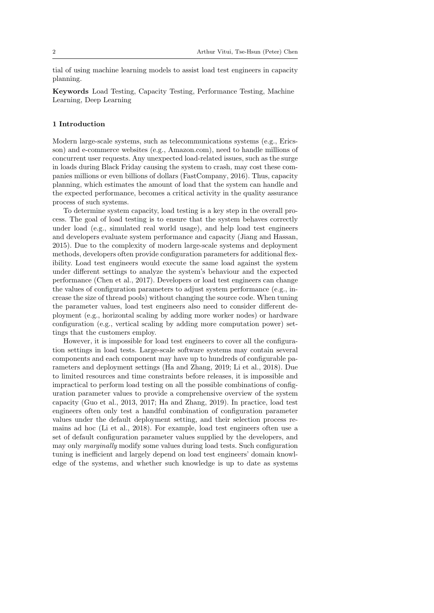tial of using machine learning models to assist load test engineers in capacity planning.

Keywords Load Testing, Capacity Testing, Performance Testing, Machine Learning, Deep Learning

## 1 Introduction

Modern large-scale systems, such as telecommunications systems (e.g., Ericsson) and e-commerce websites (e.g., Amazon.com), need to handle millions of concurrent user requests. Any unexpected load-related issues, such as the surge in loads during Black Friday causing the system to crash, may cost these companies millions or even billions of dollars [\(FastCompany, 2016\)](#page-29-0). Thus, capacity planning, which estimates the amount of load that the system can handle and the expected performance, becomes a critical activity in the quality assurance process of such systems.

To determine system capacity, load testing is a key step in the overall process. The goal of load testing is to ensure that the system behaves correctly under load (e.g., simulated real world usage), and help load test engineers and developers evaluate system performance and capacity [\(Jiang and Hassan,](#page-29-1) [2015\)](#page-29-1). Due to the complexity of modern large-scale systems and deployment methods, developers often provide configuration parameters for additional flexibility. Load test engineers would execute the same load against the system under different settings to analyze the system's behaviour and the expected performance [\(Chen et al., 2017\)](#page-29-2). Developers or load test engineers can change the values of configuration parameters to adjust system performance (e.g., increase the size of thread pools) without changing the source code. When tuning the parameter values, load test engineers also need to consider different deployment (e.g., horizontal scaling by adding more worker nodes) or hardware configuration (e.g., vertical scaling by adding more computation power) settings that the customers employ.

However, it is impossible for load test engineers to cover all the configuration settings in load tests. Large-scale software systems may contain several components and each component may have up to hundreds of configurable parameters and deployment settings [\(Ha and Zhang, 2019;](#page-29-3) [Li et al., 2018\)](#page-30-0). Due to limited resources and time constraints before releases, it is impossible and impractical to perform load testing on all the possible combinations of configuration parameter values to provide a comprehensive overview of the system capacity [\(Guo et al., 2013,](#page-29-4) [2017;](#page-29-5) [Ha and Zhang, 2019\)](#page-29-3). In practice, load test engineers often only test a handful combination of configuration parameter values under the default deployment setting, and their selection process remains ad hoc [\(Li et al., 2018\)](#page-30-0). For example, load test engineers often use a set of default configuration parameter values supplied by the developers, and may only marginally modify some values during load tests. Such configuration tuning is inefficient and largely depend on load test engineers' domain knowledge of the systems, and whether such knowledge is up to date as systems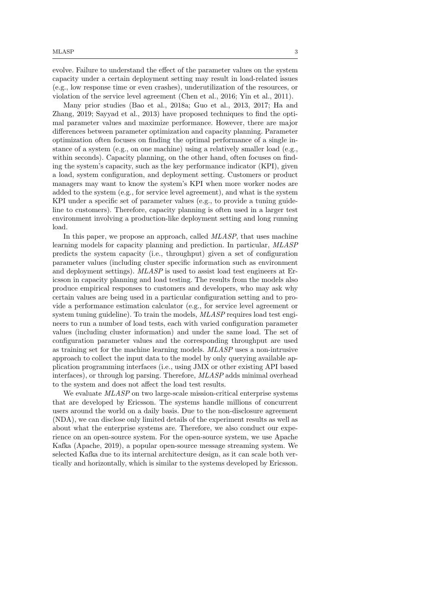evolve. Failure to understand the effect of the parameter values on the system capacity under a certain deployment setting may result in load-related issues (e.g., low response time or even crashes), underutilization of the resources, or violation of the service level agreement [\(Chen et al., 2016;](#page-29-6) [Yin et al., 2011\)](#page-31-0).

Many prior studies [\(Bao et al., 2018a;](#page-28-0) [Guo et al., 2013,](#page-29-4) [2017;](#page-29-5) [Ha and](#page-29-3) [Zhang, 2019;](#page-29-3) [Sayyad et al., 2013\)](#page-30-1) have proposed techniques to find the optimal parameter values and maximize performance. However, there are major differences between parameter optimization and capacity planning. Parameter optimization often focuses on finding the optimal performance of a single instance of a system (e.g., on one machine) using a relatively smaller load (e.g., within seconds). Capacity planning, on the other hand, often focuses on finding the system's capacity, such as the key performance indicator (KPI), given a load, system configuration, and deployment setting. Customers or product managers may want to know the system's KPI when more worker nodes are added to the system (e.g., for service level agreement), and what is the system KPI under a specific set of parameter values (e.g., to provide a tuning guideline to customers). Therefore, capacity planning is often used in a larger test environment involving a production-like deployment setting and long running load.

In this paper, we propose an approach, called *MLASP*, that uses machine learning models for capacity planning and prediction. In particular, MLASP predicts the system capacity (i.e., throughput) given a set of configuration parameter values (including cluster specific information such as environment and deployment settings). MLASP is used to assist load test engineers at Ericsson in capacity planning and load testing. The results from the models also produce empirical responses to customers and developers, who may ask why certain values are being used in a particular configuration setting and to provide a performance estimation calculator (e.g., for service level agreement or system tuning guideline). To train the models,  $MLASP$  requires load test engineers to run a number of load tests, each with varied configuration parameter values (including cluster information) and under the same load. The set of configuration parameter values and the corresponding throughput are used as training set for the machine learning models. MLASP uses a non-intrusive approach to collect the input data to the model by only querying available application programming interfaces (i.e., using JMX or other existing API based interfaces), or through log parsing. Therefore, MLASP adds minimal overhead to the system and does not affect the load test results.

We evaluate  $MLASP$  on two large-scale mission-critical enterprise systems that are developed by Ericsson. The systems handle millions of concurrent users around the world on a daily basis. Due to the non-disclosure agreement (NDA), we can disclose only limited details of the experiment results as well as about what the enterprise systems are. Therefore, we also conduct our experience on an open-source system. For the open-source system, we use Apache Kafka [\(Apache, 2019\)](#page-28-1), a popular open-source message streaming system. We selected Kafka due to its internal architecture design, as it can scale both vertically and horizontally, which is similar to the systems developed by Ericsson.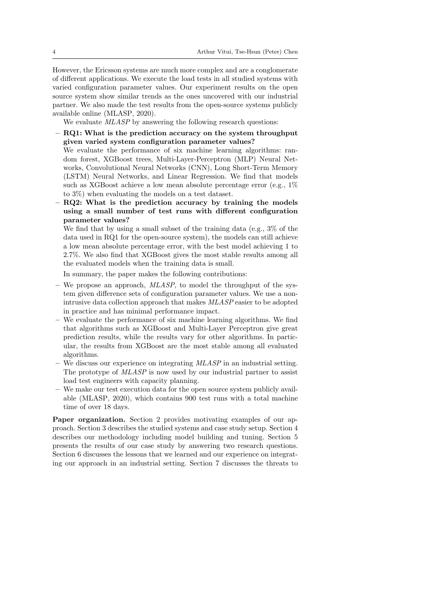However, the Ericsson systems are much more complex and are a conglomerate of different applications. We execute the load tests in all studied systems with varied configuration parameter values. Our experiment results on the open source system show similar trends as the ones uncovered with our industrial partner. We also made the test results from the open-source systems publicly available online [\(MLASP, 2020\)](#page-30-2).

We evaluate *MLASP* by answering the following research questions:

– RQ1: What is the prediction accuracy on the system throughput given varied system configuration parameter values?

We evaluate the performance of six machine learning algorithms: random forest, XGBoost trees, Multi-Layer-Perceptron (MLP) Neural Networks, Convolutional Neural Networks (CNN), Long Short-Term Memory (LSTM) Neural Networks, and Linear Regression. We find that models such as XGBoost achieve a low mean absolute percentage error (e.g., 1% to 3%) when evaluating the models on a test dataset.

– RQ2: What is the prediction accuracy by training the models using a small number of test runs with different configuration parameter values?

We find that by using a small subset of the training data (e.g.,  $3\%$  of the data used in RQ1 for the open-source system), the models can still achieve a low mean absolute percentage error, with the best model achieving 1 to 2.7%. We also find that XGBoost gives the most stable results among all the evaluated models when the training data is small.

In summary, the paper makes the following contributions:

- We propose an approach,  $MLASP$ , to model the throughput of the system given difference sets of configuration parameter values. We use a nonintrusive data collection approach that makes MLASP easier to be adopted in practice and has minimal performance impact.
- We evaluate the performance of six machine learning algorithms. We find that algorithms such as XGBoost and Multi-Layer Perceptron give great prediction results, while the results vary for other algorithms. In particular, the results from XGBoost are the most stable among all evaluated algorithms.
- We discuss our experience on integrating  $MLASP$  in an industrial setting. The prototype of  $MLASP$  is now used by our industrial partner to assist load test engineers with capacity planning.
- We make our test execution data for the open source system publicly available [\(MLASP, 2020\)](#page-30-2), which contains 900 test runs with a total machine time of over 18 days.

Paper organization. Section [2](#page-4-0) provides motivating examples of our approach. Section [3](#page-5-0) describes the studied systems and case study setup. Section [4](#page-9-0) describes our methodology including model building and tuning. Section [5](#page-13-0) presents the results of our case study by answering two research questions. Section [6](#page-22-0) discusses the lessons that we learned and our experience on integrating our approach in an industrial setting. Section [7](#page-25-0) discusses the threats to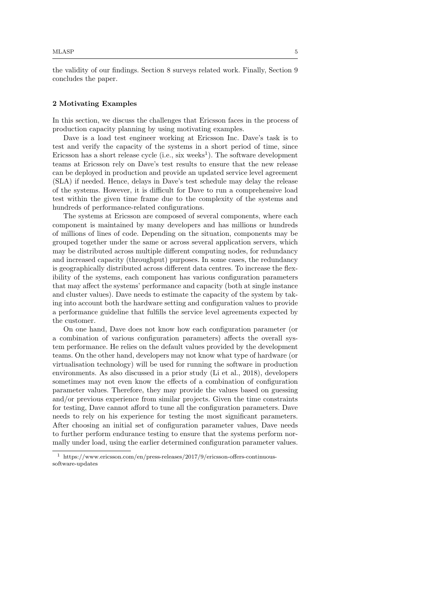the validity of our findings. Section [8](#page-26-0) surveys related work. Finally, Section [9](#page-27-0) concludes the paper.

#### <span id="page-4-0"></span>2 Motivating Examples

In this section, we discuss the challenges that Ericsson faces in the process of production capacity planning by using motivating examples.

Dave is a load test engineer working at Ericsson Inc. Dave's task is to test and verify the capacity of the systems in a short period of time, since Ericsson has a short release cycle  $(i.e., six weeks<sup>1</sup>)$  $(i.e., six weeks<sup>1</sup>)$  $(i.e., six weeks<sup>1</sup>)$ . The software development teams at Ericsson rely on Dave's test results to ensure that the new release can be deployed in production and provide an updated service level agreement (SLA) if needed. Hence, delays in Dave's test schedule may delay the release of the systems. However, it is difficult for Dave to run a comprehensive load test within the given time frame due to the complexity of the systems and hundreds of performance-related configurations.

The systems at Ericsson are composed of several components, where each component is maintained by many developers and has millions or hundreds of millions of lines of code. Depending on the situation, components may be grouped together under the same or across several application servers, which may be distributed across multiple different computing nodes, for redundancy and increased capacity (throughput) purposes. In some cases, the redundancy is geographically distributed across different data centres. To increase the flexibility of the systems, each component has various configuration parameters that may affect the systems' performance and capacity (both at single instance and cluster values). Dave needs to estimate the capacity of the system by taking into account both the hardware setting and configuration values to provide a performance guideline that fulfills the service level agreements expected by the customer.

On one hand, Dave does not know how each configuration parameter (or a combination of various configuration parameters) affects the overall system performance. He relies on the default values provided by the development teams. On the other hand, developers may not know what type of hardware (or virtualisation technology) will be used for running the software in production environments. As also discussed in a prior study [\(Li et al., 2018\)](#page-30-0), developers sometimes may not even know the effects of a combination of configuration parameter values. Therefore, they may provide the values based on guessing and/or previous experience from similar projects. Given the time constraints for testing, Dave cannot afford to tune all the configuration parameters. Dave needs to rely on his experience for testing the most significant parameters. After choosing an initial set of configuration parameter values, Dave needs to further perform endurance testing to ensure that the systems perform normally under load, using the earlier determined configuration parameter values.

<span id="page-4-1"></span><sup>1</sup> https://www.ericsson.com/en/press-releases/2017/9/ericsson-offers-continuoussoftware-updates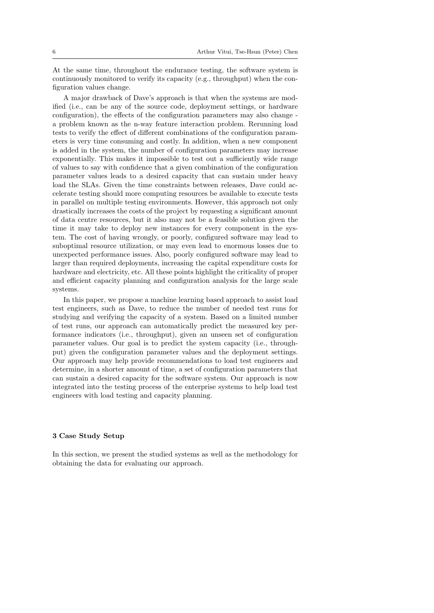At the same time, throughout the endurance testing, the software system is continuously monitored to verify its capacity (e.g., throughput) when the configuration values change.

A major drawback of Dave's approach is that when the systems are modified (i.e., can be any of the source code, deployment settings, or hardware configuration), the effects of the configuration parameters may also change a problem known as the n-way feature interaction problem. Rerunning load tests to verify the effect of different combinations of the configuration parameters is very time consuming and costly. In addition, when a new component is added in the system, the number of configuration parameters may increase exponentially. This makes it impossible to test out a sufficiently wide range of values to say with confidence that a given combination of the configuration parameter values leads to a desired capacity that can sustain under heavy load the SLAs. Given the time constraints between releases, Dave could accelerate testing should more computing resources be available to execute tests in parallel on multiple testing environments. However, this approach not only drastically increases the costs of the project by requesting a significant amount of data centre resources, but it also may not be a feasible solution given the time it may take to deploy new instances for every component in the system. The cost of having wrongly, or poorly, configured software may lead to suboptimal resource utilization, or may even lead to enormous losses due to unexpected performance issues. Also, poorly configured software may lead to larger than required deployments, increasing the capital expenditure costs for hardware and electricity, etc. All these points highlight the criticality of proper and efficient capacity planning and configuration analysis for the large scale systems.

In this paper, we propose a machine learning based approach to assist load test engineers, such as Dave, to reduce the number of needed test runs for studying and verifying the capacity of a system. Based on a limited number of test runs, our approach can automatically predict the measured key performance indicators (i.e., throughput), given an unseen set of configuration parameter values. Our goal is to predict the system capacity (i.e., throughput) given the configuration parameter values and the deployment settings. Our approach may help provide recommendations to load test engineers and determine, in a shorter amount of time, a set of configuration parameters that can sustain a desired capacity for the software system. Our approach is now integrated into the testing process of the enterprise systems to help load test engineers with load testing and capacity planning.

## <span id="page-5-0"></span>3 Case Study Setup

In this section, we present the studied systems as well as the methodology for obtaining the data for evaluating our approach.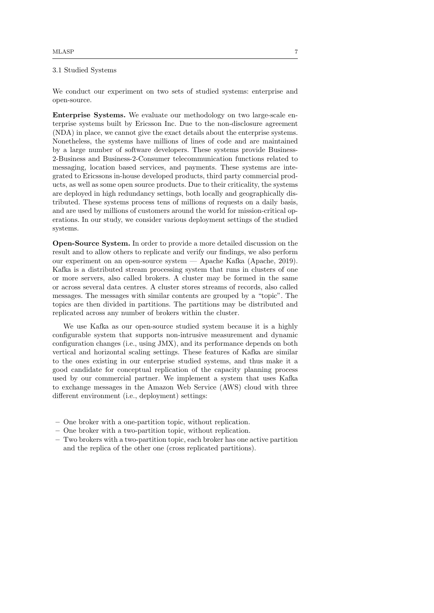# <span id="page-6-0"></span>3.1 Studied Systems

We conduct our experiment on two sets of studied systems: enterprise and open-source.

Enterprise Systems. We evaluate our methodology on two large-scale enterprise systems built by Ericsson Inc. Due to the non-disclosure agreement (NDA) in place, we cannot give the exact details about the enterprise systems. Nonetheless, the systems have millions of lines of code and are maintained by a large number of software developers. These systems provide Business-2-Business and Business-2-Consumer telecommunication functions related to messaging, location based services, and payments. These systems are integrated to Ericssons in-house developed products, third party commercial products, as well as some open source products. Due to their criticality, the systems are deployed in high redundancy settings, both locally and geographically distributed. These systems process tens of millions of requests on a daily basis, and are used by millions of customers around the world for mission-critical operations. In our study, we consider various deployment settings of the studied systems.

Open-Source System. In order to provide a more detailed discussion on the result and to allow others to replicate and verify our findings, we also perform our experiment on an open-source system — Apache Kafka [\(Apache, 2019\)](#page-28-1). Kafka is a distributed stream processing system that runs in clusters of one or more servers, also called brokers. A cluster may be formed in the same or across several data centres. A cluster stores streams of records, also called messages. The messages with similar contents are grouped by a "topic". The topics are then divided in partitions. The partitions may be distributed and replicated across any number of brokers within the cluster.

We use Kafka as our open-source studied system because it is a highly configurable system that supports non-intrusive measurement and dynamic configuration changes (i.e., using JMX), and its performance depends on both vertical and horizontal scaling settings. These features of Kafka are similar to the ones existing in our enterprise studied systems, and thus make it a good candidate for conceptual replication of the capacity planning process used by our commercial partner. We implement a system that uses Kafka to exchange messages in the Amazon Web Service (AWS) cloud with three different environment (i.e., deployment) settings:

- One broker with a one-partition topic, without replication.
- One broker with a two-partition topic, without replication.
- Two brokers with a two-partition topic, each broker has one active partition and the replica of the other one (cross replicated partitions).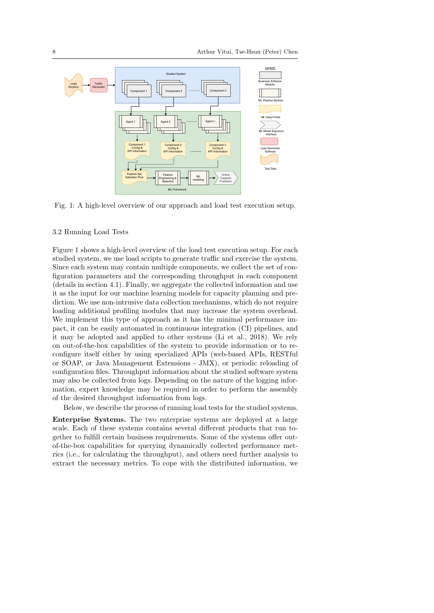<span id="page-7-0"></span>

Fig. 1: A high-level overview of our approach and load test execution setup.

#### <span id="page-7-1"></span>3.2 Running Load Tests

Figure [1](#page-7-0) shows a high-level overview of the load test execution setup. For each studied system, we use load scripts to generate traffic and exercise the system. Since each system may contain multiple components, we collect the set of configuration parameters and the corresponding throughput in each component (details in section [4.1\)](#page-9-1). Finally, we aggregate the collected information and use it as the input for our machine learning models for capacity planning and prediction. We use non-intrusive data collection mechanisms, which do not require loading additional profiling modules that may increase the system overhead. We implement this type of approach as it has the minimal performance impact, it can be easily automated in continuous integration (CI) pipelines, and it may be adopted and applied to other systems [\(Li et al., 2018\)](#page-30-0). We rely on out-of-the-box capabilities of the system to provide information or to reconfigure itself either by using specialized APIs (web-based APIs, RESTful or SOAP, or Java Management Extensions - JMX), or periodic reloading of configuration files. Throughput information about the studied software system may also be collected from logs. Depending on the nature of the logging information, expert knowledge may be required in order to perform the assembly of the desired throughput information from logs.

Below, we describe the process of running load tests for the studied systems.

Enterprise Systems. The two enterprise systems are deployed at a large scale. Each of these systems contains several different products that run together to fulfill certain business requirements. Some of the systems offer outof-the-box capabilities for querying dynamically collected performance metrics (i.e., for calculating the throughput), and others need further analysis to extract the necessary metrics. To cope with the distributed information, we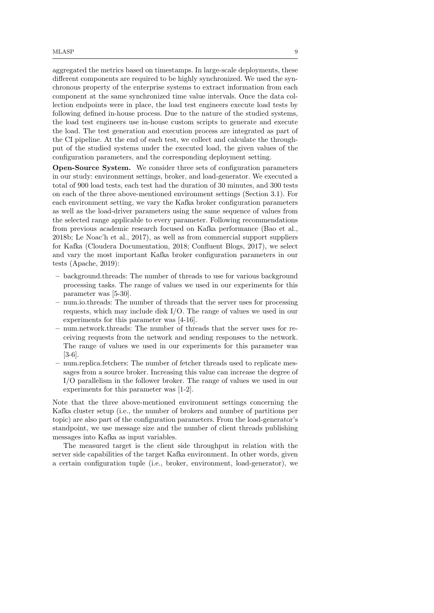aggregated the metrics based on timestamps. In large-scale deployments, these different components are required to be highly synchronized. We used the synchronous property of the enterprise systems to extract information from each component at the same synchronized time value intervals. Once the data collection endpoints were in place, the load test engineers execute load tests by following defined in-house process. Due to the nature of the studied systems, the load test engineers use in-house custom scripts to generate and execute the load. The test generation and execution process are integrated as part of the CI pipeline. At the end of each test, we collect and calculate the throughput of the studied systems under the executed load, the given values of the configuration parameters, and the corresponding deployment setting.

Open-Source System. We consider three sets of configuration parameters in our study: environment settings, broker, and load-generator. We executed a total of 900 load tests, each test had the duration of 30 minutes, and 300 tests on each of the three above-mentioned environment settings (Section [3.1\)](#page-6-0). For each environment setting, we vary the Kafka broker configuration parameters as well as the load-driver parameters using the same sequence of values from the selected range applicable to every parameter. Following recommendations from previous academic research focused on Kafka performance [\(Bao et al.,](#page-28-2) [2018b;](#page-28-2) [Le Noac'h et al., 2017\)](#page-30-3), as well as from commercial support suppliers for Kafka [\(Cloudera Documentation, 2018;](#page-29-7) [Confluent Blogs, 2017\)](#page-29-8), we select and vary the most important Kafka broker configuration parameters in our tests [\(Apache, 2019\)](#page-28-1):

- background.threads: The number of threads to use for various background processing tasks. The range of values we used in our experiments for this parameter was [5-30].
- num.io.threads: The number of threads that the server uses for processing requests, which may include disk I/O. The range of values we used in our experiments for this parameter was [4-16].
- num.network.threads: The number of threads that the server uses for receiving requests from the network and sending responses to the network. The range of values we used in our experiments for this parameter was [3-6].
- num.replica.fetchers: The number of fetcher threads used to replicate messages from a source broker. Increasing this value can increase the degree of I/O parallelism in the follower broker. The range of values we used in our experiments for this parameter was [1-2].

Note that the three above-mentioned environment settings concerning the Kafka cluster setup (i.e., the number of brokers and number of partitions per topic) are also part of the configuration parameters. From the load-generator's standpoint, we use message size and the number of client threads publishing messages into Kafka as input variables.

The measured target is the client side throughput in relation with the server side capabilities of the target Kafka environment. In other words, given a certain configuration tuple (i.e., broker, environment, load-generator), we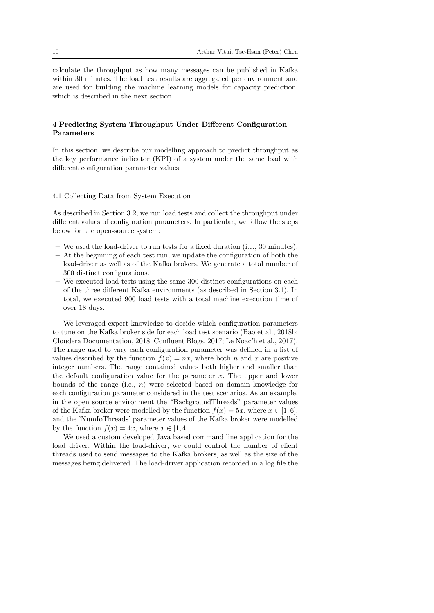calculate the throughput as how many messages can be published in Kafka within 30 minutes. The load test results are aggregated per environment and are used for building the machine learning models for capacity prediction, which is described in the next section.

# <span id="page-9-0"></span>4 Predicting System Throughput Under Different Configuration Parameters

In this section, we describe our modelling approach to predict throughput as the key performance indicator (KPI) of a system under the same load with different configuration parameter values.

## <span id="page-9-1"></span>4.1 Collecting Data from System Execution

As described in Section [3.2,](#page-7-1) we run load tests and collect the throughput under different values of configuration parameters. In particular, we follow the steps below for the open-source system:

- We used the load-driver to run tests for a fixed duration (i.e., 30 minutes).
- $-$  At the beginning of each test run, we update the configuration of both the load-driver as well as of the Kafka brokers. We generate a total number of 300 distinct configurations.
- We executed load tests using the same 300 distinct configurations on each of the three different Kafka environments (as described in Section [3.1\)](#page-6-0). In total, we executed 900 load tests with a total machine execution time of over 18 days.

We leveraged expert knowledge to decide which configuration parameters to tune on the Kafka broker side for each load test scenario [\(Bao et al., 2018b;](#page-28-2) [Cloudera Documentation, 2018;](#page-29-7) [Confluent Blogs, 2017;](#page-29-8) [Le Noac'h et al., 2017\)](#page-30-3). The range used to vary each configuration parameter was defined in a list of values described by the function  $f(x) = nx$ , where both n and x are positive integer numbers. The range contained values both higher and smaller than the default configuration value for the parameter  $x$ . The upper and lower bounds of the range (i.e.,  $n$ ) were selected based on domain knowledge for each configuration parameter considered in the test scenarios. As an example, in the open source environment the "BackgroundThreads" parameter values of the Kafka broker were modelled by the function  $f(x) = 5x$ , where  $x \in [1, 6]$ , and the 'NumIoThreads' parameter values of the Kafka broker were modelled by the function  $f(x) = 4x$ , where  $x \in [1, 4]$ .

We used a custom developed Java based command line application for the load driver. Within the load-driver, we could control the number of client threads used to send messages to the Kafka brokers, as well as the size of the messages being delivered. The load-driver application recorded in a log file the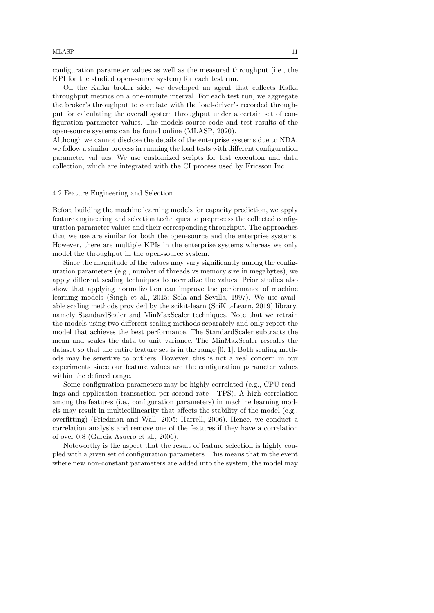configuration parameter values as well as the measured throughput (i.e., the KPI for the studied open-source system) for each test run.

On the Kafka broker side, we developed an agent that collects Kafka throughput metrics on a one-minute interval. For each test run, we aggregate the broker's throughput to correlate with the load-driver's recorded throughput for calculating the overall system throughput under a certain set of configuration parameter values. The models source code and test results of the open-source systems can be found online [\(MLASP, 2020\)](#page-30-2).

Although we cannot disclose the details of the enterprise systems due to NDA, we follow a similar process in running the load tests with different configuration parameter val ues. We use customized scripts for test execution and data collection, which are integrated with the CI process used by Ericsson Inc.

#### 4.2 Feature Engineering and Selection

Before building the machine learning models for capacity prediction, we apply feature engineering and selection techniques to preprocess the collected configuration parameter values and their corresponding throughput. The approaches that we use are similar for both the open-source and the enterprise systems. However, there are multiple KPIs in the enterprise systems whereas we only model the throughput in the open-source system.

Since the magnitude of the values may vary significantly among the configuration parameters (e.g., number of threads vs memory size in megabytes), we apply different scaling techniques to normalize the values. Prior studies also show that applying normalization can improve the performance of machine learning models [\(Singh et al., 2015;](#page-30-4) [Sola and Sevilla, 1997\)](#page-30-5). We use available scaling methods provided by the scikit-learn [\(SciKit-Learn, 2019\)](#page-30-6) library, namely StandardScaler and MinMaxScaler techniques. Note that we retrain the models using two different scaling methods separately and only report the model that achieves the best performance. The StandardScaler subtracts the mean and scales the data to unit variance. The MinMaxScaler rescales the dataset so that the entire feature set is in the range [0, 1]. Both scaling methods may be sensitive to outliers. However, this is not a real concern in our experiments since our feature values are the configuration parameter values within the defined range.

Some configuration parameters may be highly correlated (e.g., CPU readings and application transaction per second rate - TPS). A high correlation among the features (i.e., configuration parameters) in machine learning models may result in multicollinearity that affects the stability of the model (e.g., overfitting) [\(Friedman and Wall, 2005;](#page-29-9) [Harrell, 2006\)](#page-29-10). Hence, we conduct a correlation analysis and remove one of the features if they have a correlation of over 0.8 [\(Garcia Asuero et al., 2006\)](#page-29-11).

Noteworthy is the aspect that the result of feature selection is highly coupled with a given set of configuration parameters. This means that in the event where new non-constant parameters are added into the system, the model may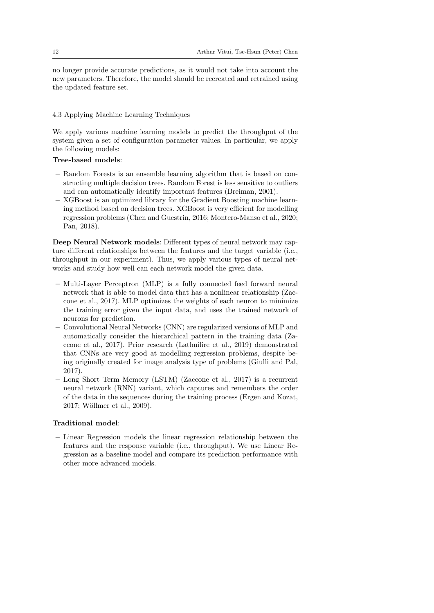no longer provide accurate predictions, as it would not take into account the new parameters. Therefore, the model should be recreated and retrained using the updated feature set.

## <span id="page-11-0"></span>4.3 Applying Machine Learning Techniques

We apply various machine learning models to predict the throughput of the system given a set of configuration parameter values. In particular, we apply the following models:

# Tree-based models:

- Random Forests is an ensemble learning algorithm that is based on constructing multiple decision trees. Random Forest is less sensitive to outliers and can automatically identify important features [\(Breiman, 2001\)](#page-28-3).
- XGBoost is an optimized library for the Gradient Boosting machine learning method based on decision trees. XGBoost is very efficient for modelling regression problems [\(Chen and Guestrin, 2016;](#page-28-4) [Montero-Manso et al., 2020;](#page-30-7) [Pan, 2018\)](#page-30-8).

Deep Neural Network models: Different types of neural network may capture different relationships between the features and the target variable (i.e., throughput in our experiment). Thus, we apply various types of neural networks and study how well can each network model the given data.

- Multi-Layer Perceptron (MLP) is a fully connected feed forward neural network that is able to model data that has a nonlinear relationship [\(Zac](#page-31-1)[cone et al., 2017\)](#page-31-1). MLP optimizes the weights of each neuron to minimize the training error given the input data, and uses the trained network of neurons for prediction.
- Convolutional Neural Networks (CNN) are regularized versions of MLP and automatically consider the hierarchical pattern in the training data [\(Za](#page-31-1)[ccone et al., 2017\)](#page-31-1). Prior research [\(Lathuilire et al., 2019\)](#page-29-12) demonstrated that CNNs are very good at modelling regression problems, despite being originally created for image analysis type of problems [\(Giulli and Pal,](#page-29-13) [2017\)](#page-29-13).
- Long Short Term Memory (LSTM) [\(Zaccone et al., 2017\)](#page-31-1) is a recurrent neural network (RNN) variant, which captures and remembers the order of the data in the sequences during the training process [\(Ergen and Kozat,](#page-29-14) [2017;](#page-29-14) Wöllmer et al., 2009).

## Traditional model:

– Linear Regression models the linear regression relationship between the features and the response variable (i.e., throughput). We use Linear Regression as a baseline model and compare its prediction performance with other more advanced models.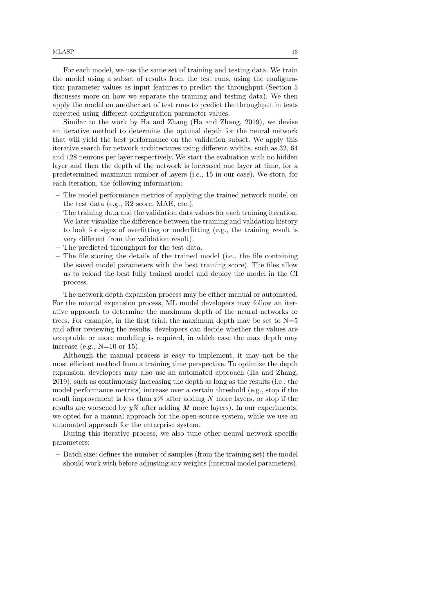For each model, we use the same set of training and testing data. We train the model using a subset of results from the test runs, using the configuration parameter values as input features to predict the throughput (Section [5](#page-13-0) discusses more on how we separate the training and testing data). We then apply the model on another set of test runs to predict the throughput in tests executed using different configuration parameter values.

Similar to the work by Ha and Zhang [\(Ha and Zhang, 2019\)](#page-29-3), we devise an iterative method to determine the optimal depth for the neural network that will yield the best performance on the validation subset. We apply this iterative search for network architectures using different widths, such as 32, 64 and 128 neurons per layer respectively. We start the evaluation with no hidden layer and then the depth of the network is increased one layer at time, for a predetermined maximum number of layers (i.e., 15 in our case). We store, for each iteration, the following information:

- The model performance metrics of applying the trained network model on the test data (e.g., R2 score, MAE, etc.).
- The training data and the validation data values for each training iteration. We later visualize the difference between the training and validation history to look for signs of overfitting or underfitting (e.g., the training result is very different from the validation result).
- The predicted throughput for the test data.
- The file storing the details of the trained model (i.e., the file containing the saved model parameters with the best training score). The files allow us to reload the best fully trained model and deploy the model in the CI process.

The network depth expansion process may be either manual or automated. For the manual expansion process, ML model developers may follow an iterative approach to determine the maximum depth of the neural networks or trees. For example, in the first trial, the maximum depth may be set to  $N=5$ and after reviewing the results, developers can decide whether the values are acceptable or more modeling is required, in which case the max depth may increase (e.g.,  $N=10$  or 15).

Although the manual process is easy to implement, it may not be the most efficient method from a training time perspective. To optimize the depth expansion, developers may also use an automated approach [\(Ha and Zhang,](#page-29-3) [2019\)](#page-29-3), such as continuously increasing the depth as long as the results (i.e., the model performance metrics) increase over a certain threshold (e.g., stop if the result improvement is less than  $x\%$  after adding N more layers, or stop if the results are worsened by  $y\%$  after adding M more layers). In our experiments, we opted for a manual approach for the open-source system, while we use an automated approach for the enterprise system.

During this iterative process, we also tune other neural network specific parameters:

– Batch size: defines the number of samples (from the training set) the model should work with before adjusting any weights (internal model parameters).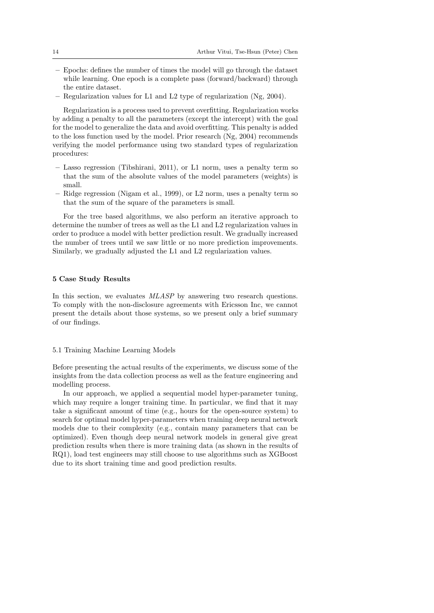- Epochs: defines the number of times the model will go through the dataset while learning. One epoch is a complete pass (forward/backward) through the entire dataset.
- Regularization values for L1 and L2 type of regularization [\(Ng, 2004\)](#page-30-10).

Regularization is a process used to prevent overfitting. Regularization works by adding a penalty to all the parameters (except the intercept) with the goal for the model to generalize the data and avoid overfitting. This penalty is added to the loss function used by the model. Prior research [\(Ng, 2004\)](#page-30-10) recommends verifying the model performance using two standard types of regularization procedures:

- Lasso regression [\(Tibshirani, 2011\)](#page-30-11), or L1 norm, uses a penalty term so that the sum of the absolute values of the model parameters (weights) is small.
- Ridge regression [\(Nigam et al., 1999\)](#page-30-12), or L2 norm, uses a penalty term so that the sum of the square of the parameters is small.

For the tree based algorithms, we also perform an iterative approach to determine the number of trees as well as the L1 and L2 regularization values in order to produce a model with better prediction result. We gradually increased the number of trees until we saw little or no more prediction improvements. Similarly, we gradually adjusted the L1 and L2 regularization values.

## <span id="page-13-0"></span>5 Case Study Results

In this section, we evaluates MLASP by answering two research questions. To comply with the non-disclosure agreements with Ericsson Inc, we cannot present the details about those systems, so we present only a brief summary of our findings.

#### 5.1 Training Machine Learning Models

Before presenting the actual results of the experiments, we discuss some of the insights from the data collection process as well as the feature engineering and modelling process.

In our approach, we applied a sequential model hyper-parameter tuning, which may require a longer training time. In particular, we find that it may take a significant amount of time (e.g., hours for the open-source system) to search for optimal model hyper-parameters when training deep neural network models due to their complexity (e.g., contain many parameters that can be optimized). Even though deep neural network models in general give great prediction results when there is more training data (as shown in the results of RQ1), load test engineers may still choose to use algorithms such as XGBoost due to its short training time and good prediction results.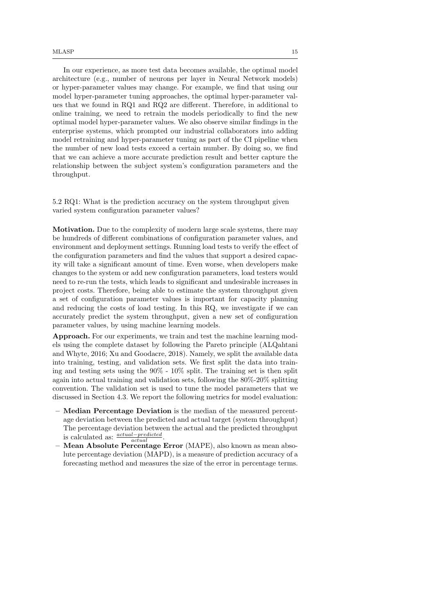In our experience, as more test data becomes available, the optimal model architecture (e.g., number of neurons per layer in Neural Network models) or hyper-parameter values may change. For example, we find that using our model hyper-parameter tuning approaches, the optimal hyper-parameter values that we found in RQ1 and RQ2 are different. Therefore, in additional to online training, we need to retrain the models periodically to find the new optimal model hyper-parameter values. We also observe similar findings in the enterprise systems, which prompted our industrial collaborators into adding model retraining and hyper-parameter tuning as part of the CI pipeline when the number of new load tests exceed a certain number. By doing so, we find that we can achieve a more accurate prediction result and better capture the relationship between the subject system's configuration parameters and the throughput.

5.2 RQ1: What is the prediction accuracy on the system throughput given varied system configuration parameter values?

Motivation. Due to the complexity of modern large scale systems, there may be hundreds of different combinations of configuration parameter values, and environment and deployment settings. Running load tests to verify the effect of the configuration parameters and find the values that support a desired capacity will take a significant amount of time. Even worse, when developers make changes to the system or add new configuration parameters, load testers would need to re-run the tests, which leads to significant and undesirable increases in project costs. Therefore, being able to estimate the system throughput given a set of configuration parameter values is important for capacity planning and reducing the costs of load testing. In this RQ, we investigate if we can accurately predict the system throughput, given a new set of configuration parameter values, by using machine learning models.

Approach. For our experiments, we train and test the machine learning models using the complete dataset by following the Pareto principle [\(ALQahtani](#page-28-5) [and Whyte, 2016;](#page-28-5) [Xu and Goodacre, 2018\)](#page-30-13). Namely, we split the available data into training, testing, and validation sets. We first split the data into training and testing sets using the 90% - 10% split. The training set is then split again into actual training and validation sets, following the 80%-20% splitting convention. The validation set is used to tune the model parameters that we discussed in Section [4.3.](#page-11-0) We report the following metrics for model evaluation:

- Median Percentage Deviation is the median of the measured percentage deviation between the predicted and actual target (system throughput) The percentage deviation between the actual and the predicted throughput is calculated as:  $\frac{actual-predicted}{actual}$ .
- Mean Absolute Percentage Error (MAPE), also known as mean absolute percentage deviation (MAPD), is a measure of prediction accuracy of a forecasting method and measures the size of the error in percentage terms.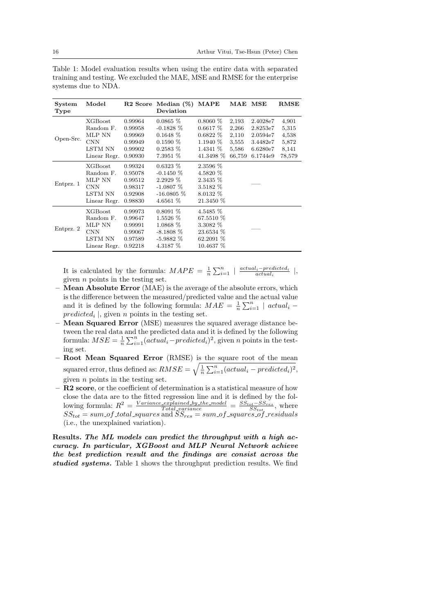<span id="page-15-0"></span>Table 1: Model evaluation results when using the entire data with separated training and testing. We excluded the MAE, MSE and RMSE for the enterprise systems due to NDA.

| System<br>Type | Model                                                                                 | R <sub>2</sub> Score                                           | Median $(\%)$<br>Deviation                                                           | <b>MAPE</b>                                                                  | MAE MSE                                             |                                                                      | RMSE                                                |
|----------------|---------------------------------------------------------------------------------------|----------------------------------------------------------------|--------------------------------------------------------------------------------------|------------------------------------------------------------------------------|-----------------------------------------------------|----------------------------------------------------------------------|-----------------------------------------------------|
| Open-Src.      | <b>XGBoost</b><br>Random F.<br>MLP NN<br><b>CNN</b><br>LSTM NN<br>Linear Regr.        | 0.99964<br>0.99958<br>0.99969<br>0.99949<br>0.99902<br>0.90930 | $0.0865\%$<br>$-0.1828\%$<br>$0.1648\%$<br>$0.1590\%$<br>$0.2583\%$<br>$7.3951\%$    | $0.8060\%$<br>$0.6617\%$<br>$0.6822\%$<br>1.1940 %<br>1.4341 %<br>41.3498 %  | 2,193<br>2,266<br>2,110<br>3,555<br>5,586<br>66,759 | 2.4028e7<br>2.8253e7<br>2.0594e7<br>3.4482e7<br>6.6280e7<br>6.1744e9 | 4,901<br>5,315<br>4,538<br>5,872<br>8,141<br>78,579 |
| Entprz. 1      | <b>XGBoost</b><br>Random F.<br>MLP NN<br><b>CNN</b><br>LSTM NN<br>Linear Regr.        | 0.99324<br>0.95078<br>0.99512<br>0.98317<br>0.92908<br>0.98830 | $0.6323\%$<br>$-0.1450\%$<br>$2.2929\%$<br>$-1.0807\%$<br>$-16.0805\%$<br>4.6561 $%$ | 2.3596 %<br>4.5820 %<br>2.3435 %<br>3.5182 %<br>8.0132 %<br>21.3450 %        |                                                     |                                                                      |                                                     |
| Entprz. 2      | <b>XGBoost</b><br>Random F.<br>MLP NN<br><b>CNN</b><br><b>LSTM NN</b><br>Linear Regr. | 0.99973<br>0.99647<br>0.99991<br>0.99067<br>0.97589<br>0.92218 | $0.8091\%$<br>1.5526 %<br>1.0868 %<br>$-8.1808\%$<br>$-5.9882\%$<br>4.3187 %         | 4.5485 %<br>67.5510 %<br>3.3082 %<br>23.6534 %<br>$62.2091\%$<br>$10.4637\%$ |                                                     |                                                                      |                                                     |

It is calculated by the formula:  $MAPE = \frac{1}{n} \sum_{i=1}^{n} |\frac{actual_i-predicted_i}{actual_i}|,$ given  $n$  points in the testing set.

- Mean Absolute Error (MAE) is the average of the absolute errors, which is the difference between the measured/predicted value and the actual value and it is defined by the following formula:  $MAE = \frac{1}{n} \sum_{i=1}^{n} |actual_i - ...$  $predicted<sub>i</sub>$ , given *n* points in the testing set.
- Mean Squared Error (MSE) measures the squared average distance between the real data and the predicted data and it is defined by the following formula:  $MSE = \frac{1}{n} \sum_{i=1}^{n} (actual_i-predicted_i)^2$ , given n points in the testing set.
- Root Mean Squared Error (RMSE) is the square root of the mean squared error, thus defined as:  $RMSE = \sqrt{\frac{1}{n} \sum_{i=1}^{n} (actual_i - predicted_i)^2}$ , given  $n$  points in the testing set.
- R2 score, or the coefficient of determination is a statistical measure of how close the data are to the fitted regression line and it is defined by the following formula:  $R^2 = \frac{Variance\_explained\_by\_the\_model}{Total\_variance} = \frac{SS_{tot}-SS_{res}}{SS_{tot}}$ , where  $SS_{tot} = sum\_of\_total\_squares$  and  $SS_{res} = sum\_of\_squares\_of\_residuals$ (i.e., the unexplained variation).

Results. The ML models can predict the throughput with a high accuracy. In particular, XGBoost and MLP Neural Network achieve the best prediction result and the findings are consist across the studied systems. Table [1](#page-15-0) shows the throughput prediction results. We find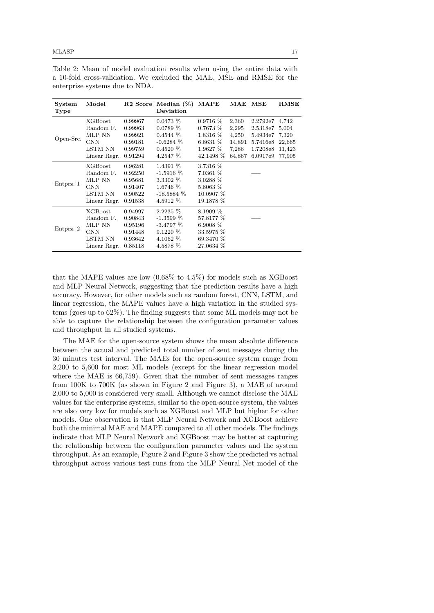| System<br>Type | Model          | R <sub>2</sub> Score | Median $(\%)$<br>Deviation | MAPE       | $\bf MAE$ | $_{\rm{MSE}}$  | <b>RMSE</b> |
|----------------|----------------|----------------------|----------------------------|------------|-----------|----------------|-------------|
| Open-Src.      | <b>XGBoost</b> | 0.99967              | $0.0473\%$                 | $0.9716\%$ | 2,360     | 2.2792e7 4.742 |             |
|                | Random F.      | 0.99963              | $0.0789\%$                 | 0.7673~%   | 2,295     | 2.5318e7       | 5,004       |
|                | MLP NN         | 0.99921              | $0.4544\%$                 | $1.8316\%$ | 4,250     | 5.4934e7       | 7,320       |
|                | <b>CNN</b>     | 0.99181              | $-0.6284\%$                | 6.8631 $%$ | 14,891    | 5.7416e8       | 22,665      |
|                | LSTM NN        | 0.99759              | $0.4520\%$                 | $1.9627\%$ | 7,286     | 1.7208e8       | 11,423      |
|                | Linear Regr.   | 0.91294              | 4.2547 %                   | 42.1498 %  | 64,867    | 6.0917e9       | 77,905      |
|                | <b>XGBoost</b> | 0.96281              | 1.4391 %                   | 3.7316 %   |           |                |             |
|                | Random F.      | 0.92250              | $-1.5916\%$                | 7.0361 %   |           |                |             |
|                | MLP NN         | 0.95681              | 3.3302 %                   | $3.0288\%$ |           |                |             |
| Entprz. 1      | <b>CNN</b>     | 0.91407              | 1.6746 %                   | 5.8063 %   |           |                |             |
|                | LSTM NN        | 0.90522              | $-18.5884\%$               | 10.0907 %  |           |                |             |
|                | Linear Regr.   | 0.91538              | 4.5912 %                   | 19.1878 %  |           |                |             |
| Entprz. 2      | <b>XGBoost</b> | 0.94997              | $2.2235\%$                 | $8.1909\%$ |           |                |             |
|                | Random F.      | 0.90843              | $-1.3599\%$                | 57.8177 %  |           |                |             |
|                | MLP NN         | 0.95196              | $-3.4797\%$                | 6.9008 $%$ |           |                |             |
|                | <b>CNN</b>     | 0.91448              | $9.1220\%$                 | 33.5975 %  |           |                |             |
|                | LSTM NN        | 0.93642              | 4.1062 %                   | 69.3470 %  |           |                |             |
|                | Linear Regr.   | 0.85118              | 4.5878 %                   | 27.0634 %  |           |                |             |

<span id="page-16-0"></span>Table 2: Mean of model evaluation results when using the entire data with a 10-fold cross-validation. We excluded the MAE, MSE and RMSE for the enterprise systems due to NDA.

that the MAPE values are low (0.68% to 4.5%) for models such as XGBoost and MLP Neural Network, suggesting that the prediction results have a high accuracy. However, for other models such as random forest, CNN, LSTM, and linear regression, the MAPE values have a high variation in the studied systems (goes up to 62%). The finding suggests that some ML models may not be able to capture the relationship between the configuration parameter values and throughput in all studied systems.

The MAE for the open-source system shows the mean absolute difference between the actual and predicted total number of sent messages during the 30 minutes test interval. The MAEs for the open-source system range from 2,200 to 5,600 for most ML models (except for the linear regression model where the MAE is 66,759). Given that the number of sent messages ranges from 100K to 700K (as shown in Figure [2](#page-17-0) and Figure [3\)](#page-17-1), a MAE of around 2,000 to 5,000 is considered very small. Although we cannot disclose the MAE values for the enterprise systems, similar to the open-source system, the values are also very low for models such as XGBoost and MLP but higher for other models. One observation is that MLP Neural Network and XGBoost achieve both the minimal MAE and MAPE compared to all other models. The findings indicate that MLP Neural Network and XGBoost may be better at capturing the relationship between the configuration parameter values and the system throughput. As an example, Figure [2](#page-17-0) and Figure [3](#page-17-1) show the predicted vs actual throughput across various test runs from the MLP Neural Net model of the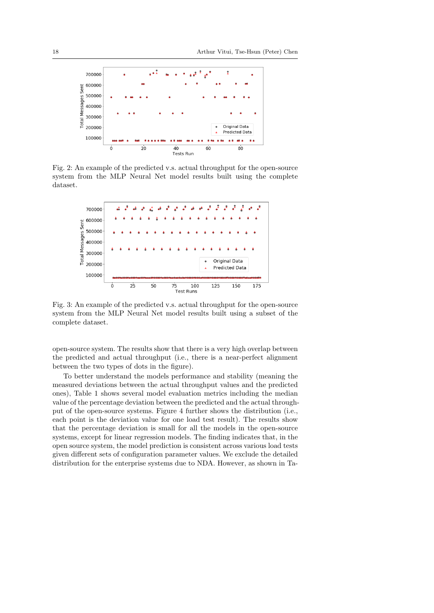<span id="page-17-0"></span>

Fig. 2: An example of the predicted v.s. actual throughput for the open-source system from the MLP Neural Net model results built using the complete dataset.

<span id="page-17-1"></span>

Fig. 3: An example of the predicted v.s. actual throughput for the open-source system from the MLP Neural Net model results built using a subset of the complete dataset.

open-source system. The results show that there is a very high overlap between the predicted and actual throughput (i.e., there is a near-perfect alignment between the two types of dots in the figure).

To better understand the models performance and stability (meaning the measured deviations between the actual throughput values and the predicted ones), Table [1](#page-15-0) shows several model evaluation metrics including the median value of the percentage deviation between the predicted and the actual throughput of the open-source systems. Figure [4](#page-18-0) further shows the distribution (i.e., each point is the deviation value for one load test result). The results show that the percentage deviation is small for all the models in the open-source systems, except for linear regression models. The finding indicates that, in the open source system, the model prediction is consistent across various load tests given different sets of configuration parameter values. We exclude the detailed distribution for the enterprise systems due to NDA. However, as shown in Ta-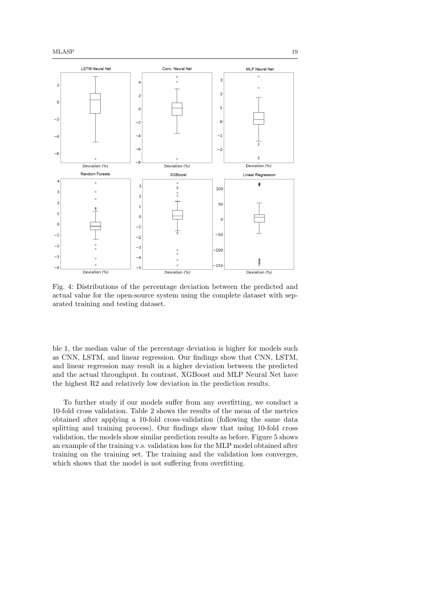<span id="page-18-0"></span>

Fig. 4: Distributions of the percentage deviation between the predicted and actual value for the open-source system using the complete dataset with separated training and testing dataset.

ble [1,](#page-15-0) the median value of the percentage deviation is higher for models such as CNN, LSTM, and linear regression. Our findings show that CNN, LSTM, and linear regression may result in a higher deviation between the predicted and the actual throughput. In contrast, XGBoost and MLP Neural Net have the highest R2 and relatively low deviation in the prediction results.

To further study if our models suffer from any overfitting, we conduct a 10-fold cross validation. Table [2](#page-16-0) shows the results of the mean of the metrics obtained after applying a 10-fold cross-validation (following the same data splitting and training process). Our findings show that using 10-fold cross validation, the models show similar prediction results as before. Figure [5](#page-19-0) shows an example of the training v.s. validation loss for the MLP model obtained after training on the training set. The training and the validation loss converges, which shows that the model is not suffering from overfitting.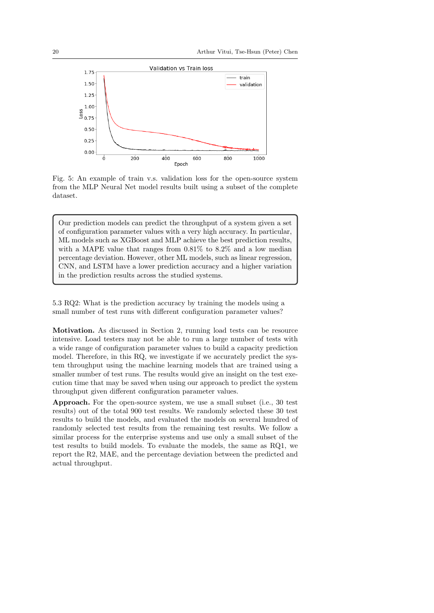<span id="page-19-0"></span>

Fig. 5: An example of train v.s. validation loss for the open-source system from the MLP Neural Net model results built using a subset of the complete dataset.

Our prediction models can predict the throughput of a system given a set of configuration parameter values with a very high accuracy. In particular, ML models such as XGBoost and MLP achieve the best prediction results, with a MAPE value that ranges from 0.81% to 8.2% and a low median percentage deviation. However, other ML models, such as linear regression, CNN, and LSTM have a lower prediction accuracy and a higher variation in the prediction results across the studied systems.

5.3 RQ2: What is the prediction accuracy by training the models using a small number of test runs with different configuration parameter values?

Motivation. As discussed in Section [2,](#page-4-0) running load tests can be resource intensive. Load testers may not be able to run a large number of tests with a wide range of configuration parameter values to build a capacity prediction model. Therefore, in this RQ, we investigate if we accurately predict the system throughput using the machine learning models that are trained using a smaller number of test runs. The results would give an insight on the test execution time that may be saved when using our approach to predict the system throughput given different configuration parameter values.

Approach. For the open-source system, we use a small subset (i.e., 30 test results) out of the total 900 test results. We randomly selected these 30 test results to build the models, and evaluated the models on several hundred of randomly selected test results from the remaining test results. We follow a similar process for the enterprise systems and use only a small subset of the test results to build models. To evaluate the models, the same as RQ1, we report the R2, MAE, and the percentage deviation between the predicted and actual throughput.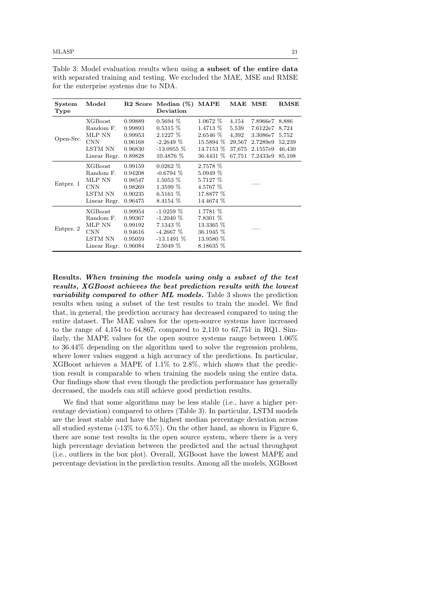| System<br>Type | Model          |         | $R2$ Score Median $(\%)$<br>Deviation | MAPE        | MAE MSE |                | RMSE   |
|----------------|----------------|---------|---------------------------------------|-------------|---------|----------------|--------|
| Open-Src.      | XGBoost        | 0.99889 | $0.5694\%$                            | $1.0672\%$  | 4,154   | 7.8966e7 8,886 |        |
|                | Random F.      | 0.99893 | $0.5315\%$                            | 1.4713 %    | 5,539   | 7.6122e7       | 8,724  |
|                | MLP NN         | 0.99953 | $2.1227\%$                            | 2.6546 %    | 4,392   | 3.3086e7       | 5,752  |
|                | <b>CNN</b>     | 0.96168 | $-2.2649\%$                           | 15.5894 %   | 29,567  | 2.7289e9       | 52,239 |
|                | LSTM NN        | 0.96830 | $-13.0955\%$                          | 14.7153 %   | 37,675  | 2.1557e9       | 46,430 |
|                | Linear Regr.   | 0.89828 | 10.4876 %                             | 36.4431 %   | 67,751  | 7.2433e9       | 85,108 |
|                | XGBoost        | 0.99159 | $0.0262\%$                            | 2.7578 %    |         |                |        |
|                | Random F.      | 0.94208 | $-0.6794\%$                           | $5.0949\%$  |         |                |        |
|                | MLP NN         | 0.98547 | $1.5053\%$                            | 5.7127 %    |         |                |        |
| Entprz. 1      | <b>CNN</b>     | 0.98269 | $1.3599\%$                            | 4.5767 %    |         |                |        |
|                | LSTM NN        | 0.90235 | 6.5161 $%$                            | 17.8877 %   |         |                |        |
|                | Linear Regr.   | 0.96475 | 8.4154 %                              | 14.4674 %   |         |                |        |
| Entprz. 2      | <b>XGBoost</b> | 0.99954 | $-1.0259\%$                           | 1.7781 %    |         |                |        |
|                | Random F.      | 0.99367 | $-1.2040\%$                           | 7.8301 %    |         |                |        |
|                | MLP NN         | 0.99192 | $7.1343\%$                            | 13.3365 %   |         |                |        |
|                | <b>CNN</b>     | 0.94616 | $-4.2667\%$                           | 36.1945 %   |         |                |        |
|                | LSTM NN        | 0.95059 | $-13.1491%$                           | 13.9580 %   |         |                |        |
|                | Linear Regr.   | 0.96084 | $2.5049\%$                            | $8.18635\%$ |         |                |        |

<span id="page-20-0"></span>Table 3: Model evaluation results when using a subset of the entire data with separated training and testing. We excluded the MAE, MSE and RMSE for the enterprise systems due to NDA.

Results. When training the models using only a subset of the test results, XGBoost achieves the best prediction results with the lowest variability compared to other ML models. Table [3](#page-20-0) shows the prediction results when using a subset of the test results to train the model. We find that, in general, the prediction accuracy has decreased compared to using the entire dataset. The MAE values for the open-source systems have increased to the range of 4,154 to 64,867, compared to 2,110 to 67,751 in RQ1. Similarly, the MAPE values for the open source systems range between 1.06% to 36.44% depending on the algorithm used to solve the regression problem, where lower values suggest a high accuracy of the predictions. In particular, XGBoost achieves a MAPE of 1.1% to 2.8%, which shows that the prediction result is comparable to when training the models using the entire data. Our findings show that even though the prediction performance has generally decreased, the models can still achieve good prediction results.

We find that some algorithms may be less stable (i.e., have a higher percentage deviation) compared to others (Table [3\)](#page-20-0). In particular, LSTM models are the least stable and have the highest median percentage deviation across all studied systems  $(-13\% \text{ to } 6.5\%).$  On the other hand, as shown in Figure [6,](#page-21-0) there are some test results in the open source system, where there is a very high percentage deviation between the predicted and the actual throughput (i.e., outliers in the box plot). Overall, XGBoost have the lowest MAPE and percentage deviation in the prediction results. Among all the models, XGBoost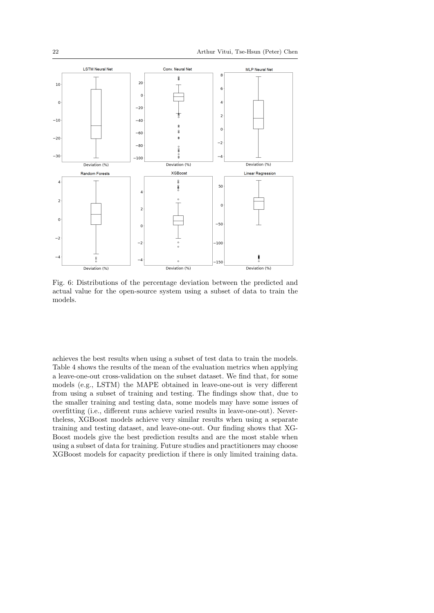<span id="page-21-0"></span>

Fig. 6: Distributions of the percentage deviation between the predicted and actual value for the open-source system using a subset of data to train the models.

achieves the best results when using a subset of test data to train the models. Table [4](#page-22-1) shows the results of the mean of the evaluation metrics when applying a leave-one-out cross-validation on the subset dataset. We find that, for some models (e.g., LSTM) the MAPE obtained in leave-one-out is very different from using a subset of training and testing. The findings show that, due to the smaller training and testing data, some models may have some issues of overfitting (i.e., different runs achieve varied results in leave-one-out). Nevertheless, XGBoost models achieve very similar results when using a separate training and testing dataset, and leave-one-out. Our finding shows that XG-Boost models give the best prediction results and are the most stable when using a subset of data for training. Future studies and practitioners may choose XGBoost models for capacity prediction if there is only limited training data.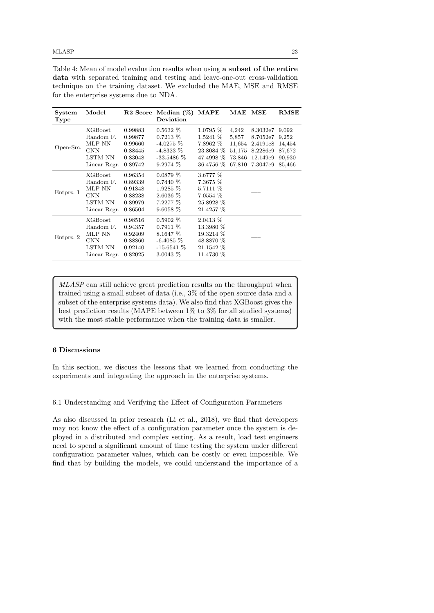<span id="page-22-1"></span>Table 4: Mean of model evaluation results when using a subset of the entire data with separated training and testing and leave-one-out cross-validation technique on the training dataset. We excluded the MAE, MSE and RMSE for the enterprise systems due to NDA.

| System<br>Type | Model                                                                          |                                                                | $R2$ Score Median $(\%)$<br>Deviation                                                | MAPE                                                                        | MAE MSE                                      |                                                                             | RMSE                                                   |
|----------------|--------------------------------------------------------------------------------|----------------------------------------------------------------|--------------------------------------------------------------------------------------|-----------------------------------------------------------------------------|----------------------------------------------|-----------------------------------------------------------------------------|--------------------------------------------------------|
| Open-Src.      | <b>XGBoost</b><br>Random F.<br>MLP NN<br><b>CNN</b><br>LSTM NN<br>Linear Regr. | 0.99883<br>0.99877<br>0.99660<br>0.88445<br>0.83048<br>0.89742 | $0.5632\%$<br>$0.7213\%$<br>$-4.0275\%$<br>$-4.8323\%$<br>$-33.5486\%$<br>$9.2974\%$ | $1.0795\%$<br>$1.5241\%$<br>7.8962%<br>23.8084 %<br>47.4998 %<br>36.4756 %  | 4,242<br>5,857<br>11,654<br>51,175<br>73,846 | 8.3032e7<br>8.7052e7<br>2.4191e8<br>8.2286e9<br>12.149e9<br>67,810 7.3047e9 | 9,092<br>9,252<br>14,454<br>87,672<br>90,930<br>85,466 |
| Entprz. 1      | <b>XGBoost</b><br>Random F.<br>MLP NN<br><b>CNN</b><br>LSTM NN<br>Linear Regr. | 0.96354<br>0.89339<br>0.91848<br>0.88238<br>0.89979<br>0.86504 | $0.0879\%$<br>$0.7440\%$<br>$1.9285\%$<br>$2.6036\%$<br>7.2277%<br>$9.6058\%$        | 3.6777 %<br>7.3675 %<br>5.7111 %<br>$7.0554\%$<br>25.8928 %<br>21.4257 %    |                                              |                                                                             |                                                        |
| Entprz. 2      | <b>XGBoost</b><br>Random F.<br>MLP NN<br><b>CNN</b><br>LSTM NN<br>Linear Regr. | 0.98516<br>0.94357<br>0.92409<br>0.88860<br>0.92140<br>0.82025 | $0.5902\%$<br>$0.7911\%$<br>$8.1647\%$<br>$-6.4085\%$<br>$-15.6541\%$<br>$3.0043\%$  | $2.0413\%$<br>13.3980 %<br>19.3214 %<br>48.8870 %<br>21.1542 %<br>11.4730 % |                                              |                                                                             |                                                        |

MLASP can still achieve great prediction results on the throughput when trained using a small subset of data (i.e., 3% of the open source data and a subset of the enterprise systems data). We also find that XGBoost gives the best prediction results (MAPE between 1% to 3% for all studied systems) with the most stable performance when the training data is smaller.

# <span id="page-22-0"></span>6 Discussions

In this section, we discuss the lessons that we learned from conducting the experiments and integrating the approach in the enterprise systems.

<span id="page-22-2"></span>6.1 Understanding and Verifying the Effect of Configuration Parameters

As also discussed in prior research [\(Li et al., 2018\)](#page-30-0), we find that developers may not know the effect of a configuration parameter once the system is deployed in a distributed and complex setting. As a result, load test engineers need to spend a significant amount of time testing the system under different configuration parameter values, which can be costly or even impossible. We find that by building the models, we could understand the importance of a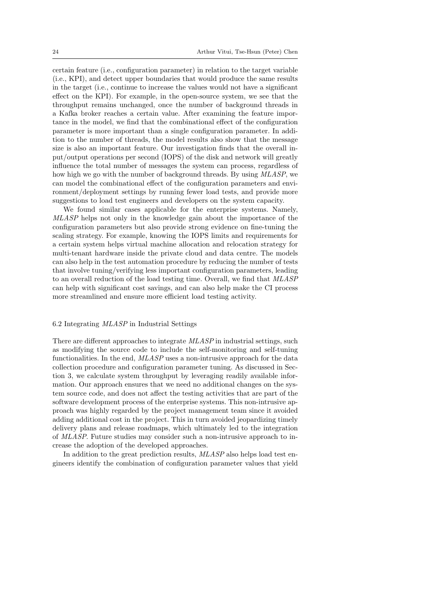certain feature (i.e., configuration parameter) in relation to the target variable (i.e., KPI), and detect upper boundaries that would produce the same results in the target (i.e., continue to increase the values would not have a significant effect on the KPI). For example, in the open-source system, we see that the throughput remains unchanged, once the number of background threads in a Kafka broker reaches a certain value. After examining the feature importance in the model, we find that the combinational effect of the configuration parameter is more important than a single configuration parameter. In addition to the number of threads, the model results also show that the message size is also an important feature. Our investigation finds that the overall input/output operations per second (IOPS) of the disk and network will greatly influence the total number of messages the system can process, regardless of how high we go with the number of background threads. By using MLASP, we can model the combinational effect of the configuration parameters and environment/deployment settings by running fewer load tests, and provide more suggestions to load test engineers and developers on the system capacity.

We found similar cases applicable for the enterprise systems. Namely, MLASP helps not only in the knowledge gain about the importance of the configuration parameters but also provide strong evidence on fine-tuning the scaling strategy. For example, knowing the IOPS limits and requirements for a certain system helps virtual machine allocation and relocation strategy for multi-tenant hardware inside the private cloud and data centre. The models can also help in the test automation procedure by reducing the number of tests that involve tuning/verifying less important configuration parameters, leading to an overall reduction of the load testing time. Overall, we find that MLASP can help with significant cost savings, and can also help make the CI process more streamlined and ensure more efficient load testing activity.

## 6.2 Integrating MLASP in Industrial Settings

There are different approaches to integrate MLASP in industrial settings, such as modifying the source code to include the self-monitoring and self-tuning functionalities. In the end,  $MLASP$  uses a non-intrusive approach for the data collection procedure and configuration parameter tuning. As discussed in Section [3,](#page-5-0) we calculate system throughput by leveraging readily available information. Our approach ensures that we need no additional changes on the system source code, and does not affect the testing activities that are part of the software development process of the enterprise systems. This non-intrusive approach was highly regarded by the project management team since it avoided adding additional cost in the project. This in turn avoided jeopardizing timely delivery plans and release roadmaps, which ultimately led to the integration of MLASP. Future studies may consider such a non-intrusive approach to increase the adoption of the developed approaches.

In addition to the great prediction results,  $MLASP$  also helps load test engineers identify the combination of configuration parameter values that yield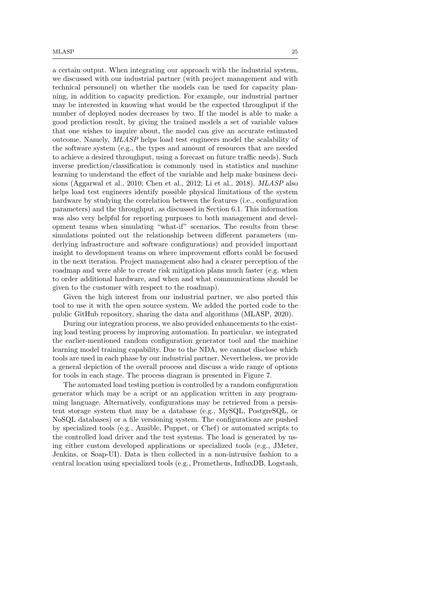a certain output. When integrating our approach with the industrial system, we discussed with our industrial partner (with project management and with technical personnel) on whether the models can be used for capacity planning, in addition to capacity prediction. For example, our industrial partner may be interested in knowing what would be the expected throughput if the number of deployed nodes decreases by two. If the model is able to make a good prediction result, by giving the trained models a set of variable values that one wishes to inquire about, the model can give an accurate estimated outcome. Namely, MLASP helps load test engineers model the scalability of the software system (e.g., the types and amount of resources that are needed to achieve a desired throughput, using a forecast on future traffic needs). Such inverse prediction/classification is commonly used in statistics and machine learning to understand the effect of the variable and help make business decisions [\(Aggarwal et al., 2010;](#page-28-6) [Chen et al., 2012;](#page-28-7) [Li et al., 2018\)](#page-30-0). MLASP also helps load test engineers identify possible physical limitations of the system hardware by studying the correlation between the features (i.e., configuration parameters) and the throughput, as discussed in Section [6.1.](#page-22-2) This information was also very helpful for reporting purposes to both management and development teams when simulating "what-if" scenarios. The results from these simulations pointed out the relationship between different parameters (underlying infrastructure and software configurations) and provided important insight to development teams on where improvement efforts could be focused in the next iteration. Project management also had a clearer perception of the roadmap and were able to create risk mitigation plans much faster (e.g. when to order additional hardware, and when and what communications should be given to the customer with respect to the roadmap).

Given the high interest from our industrial partner, we also ported this tool to use it with the open source system. We added the ported code to the public GitHub repository, sharing the data and algorithms [\(MLASP, 2020\)](#page-30-2).

During our integration process, we also provided enhancements to the existing load testing process by improving automation. In particular, we integrated the earlier-mentioned random configuration generator tool and the machine learning model training capability. Due to the NDA, we cannot disclose which tools are used in each phase by our industrial partner. Nevertheless, we provide a general depiction of the overall process and discuss a wide range of options for tools in each stage. The process diagram is presented in Figure [7.](#page-25-1)

The automated load testing portion is controlled by a random configuration generator which may be a script or an application written in any programming language. Alternatively, configurations may be retrieved from a persistent storage system that may be a database (e.g., MySQL, PostgreSQL, or NoSQL databases) or a file versioning system. The configurations are pushed by specialized tools (e.g., Ansible, Puppet, or Chef) or automated scripts to the controlled load driver and the test systems. The load is generated by using either custom developed applications or specialized tools (e.g., JMeter, Jenkins, or Soap-UI). Data is then collected in a non-intrusive fashion to a central location using specialized tools (e.g., Prometheus, InfluxDB, Logstash,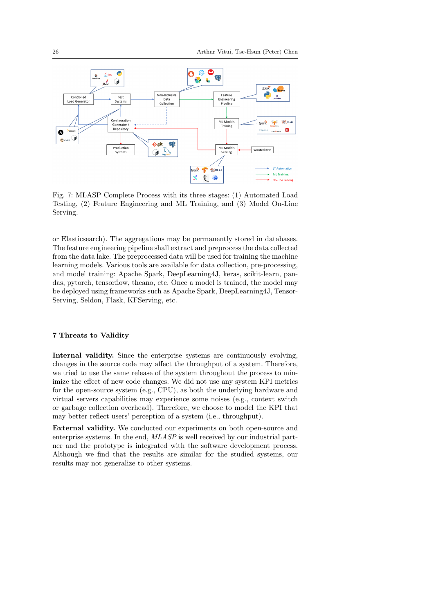<span id="page-25-1"></span>

Fig. 7: MLASP Complete Process with its three stages: (1) Automated Load Testing, (2) Feature Engineering and ML Training, and (3) Model On-Line Serving.

or Elasticsearch). The aggregations may be permanently stored in databases. The feature engineering pipeline shall extract and preprocess the data collected from the data lake. The preprocessed data will be used for training the machine learning models. Various tools are available for data collection, pre-processing, and model training: Apache Spark, DeepLearning4J, keras, scikit-learn, pandas, pytorch, tensorflow, theano, etc. Once a model is trained, the model may be deployed using frameworks such as Apache Spark, DeepLearning4J, Tensor-Serving, Seldon, Flask, KFServing, etc.

## <span id="page-25-0"></span>7 Threats to Validity

Internal validity. Since the enterprise systems are continuously evolving, changes in the source code may affect the throughput of a system. Therefore, we tried to use the same release of the system throughout the process to minimize the effect of new code changes. We did not use any system KPI metrics for the open-source system (e.g., CPU), as both the underlying hardware and virtual servers capabilities may experience some noises (e.g., context switch or garbage collection overhead). Therefore, we choose to model the KPI that may better reflect users' perception of a system (i.e., throughput).

External validity. We conducted our experiments on both open-source and enterprise systems. In the end,  $MLASP$  is well received by our industrial partner and the prototype is integrated with the software development process. Although we find that the results are similar for the studied systems, our results may not generalize to other systems.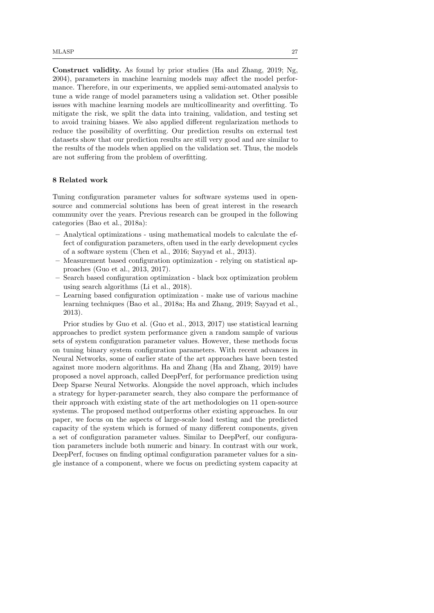Construct validity. As found by prior studies [\(Ha and Zhang, 2019;](#page-29-3) [Ng,](#page-30-10) [2004\)](#page-30-10), parameters in machine learning models may affect the model performance. Therefore, in our experiments, we applied semi-automated analysis to tune a wide range of model parameters using a validation set. Other possible issues with machine learning models are multicollinearity and overfitting. To mitigate the risk, we split the data into training, validation, and testing set to avoid training biases. We also applied different regularization methods to reduce the possibility of overfitting. Our prediction results on external test datasets show that our prediction results are still very good and are similar to the results of the models when applied on the validation set. Thus, the models are not suffering from the problem of overfitting.

## <span id="page-26-0"></span>8 Related work

Tuning configuration parameter values for software systems used in opensource and commercial solutions has been of great interest in the research community over the years. Previous research can be grouped in the following categories [\(Bao et al., 2018a\)](#page-28-0):

- Analytical optimizations using mathematical models to calculate the effect of configuration parameters, often used in the early development cycles of a software system [\(Chen et al., 2016;](#page-29-6) [Sayyad et al., 2013\)](#page-30-1).
- Measurement based configuration optimization relying on statistical approaches [\(Guo et al., 2013,](#page-29-4) [2017\)](#page-29-5).
- Search based configuration optimization black box optimization problem using search algorithms [\(Li et al., 2018\)](#page-30-0).
- Learning based configuration optimization make use of various machine learning techniques [\(Bao et al., 2018a;](#page-28-0) [Ha and Zhang, 2019;](#page-29-3) [Sayyad et al.,](#page-30-1) [2013\)](#page-30-1).

Prior studies by Guo et al. [\(Guo et al., 2013,](#page-29-4) [2017\)](#page-29-5) use statistical learning approaches to predict system performance given a random sample of various sets of system configuration parameter values. However, these methods focus on tuning binary system configuration parameters. With recent advances in Neural Networks, some of earlier state of the art approaches have been tested against more modern algorithms. Ha and Zhang [\(Ha and Zhang, 2019\)](#page-29-3) have proposed a novel approach, called DeepPerf, for performance prediction using Deep Sparse Neural Networks. Alongside the novel approach, which includes a strategy for hyper-parameter search, they also compare the performance of their approach with existing state of the art methodologies on 11 open-source systems. The proposed method outperforms other existing approaches. In our paper, we focus on the aspects of large-scale load testing and the predicted capacity of the system which is formed of many different components, given a set of configuration parameter values. Similar to DeepPerf, our configuration parameters include both numeric and binary. In contrast with our work, DeepPerf, focuses on finding optimal configuration parameter values for a single instance of a component, where we focus on predicting system capacity at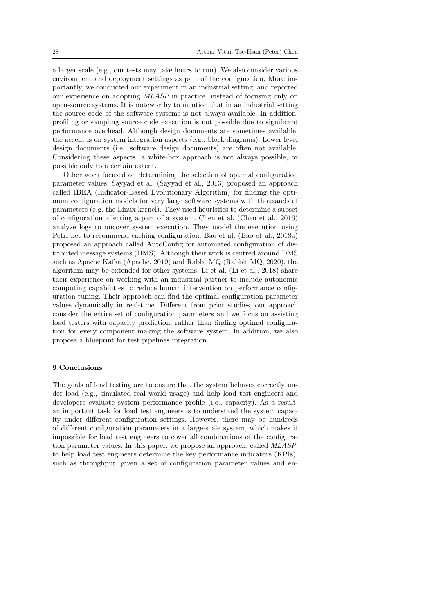a larger scale (e.g., our tests may take hours to run). We also consider various environment and deployment settings as part of the configuration. More importantly, we conducted our experiment in an industrial setting, and reported our experience on adopting MLASP in practice, instead of focusing only on open-source systems. It is noteworthy to mention that in an industrial setting the source code of the software systems is not always available. In addition, profiling or sampling source code execution is not possible due to significant performance overhead. Although design documents are sometimes available, the accent is on system integration aspects (e.g., block diagrams). Lower level design documents (i.e., software design documents) are often not available. Considering these aspects, a white-box approach is not always possible, or possible only to a certain extent.

Other work focused on determining the selection of optimal configuration parameter values. Sayyad et al. [\(Sayyad et al., 2013\)](#page-30-1) proposed an approach called IBEA (Indicator-Based Evolutionary Algorithm) for finding the optimum configuration models for very large software systems with thousands of parameters (e.g. the Linux kernel). They used heuristics to determine a subset of configuration affecting a part of a system. Chen et al. [\(Chen et al., 2016\)](#page-29-6) analyze logs to uncover system execution. They model the execution using Petri net to recommend caching configuration. Bao et al. [\(Bao et al., 2018a\)](#page-28-0) proposed an approach called AutoConfig for automated configuration of distributed message systems (DMS). Although their work is centred around DMS such as Apache Kafka [\(Apache, 2019\)](#page-28-1) and RabbitMQ [\(Rabbit MQ, 2020\)](#page-30-14), the algorithm may be extended for other systems. Li et al. [\(Li et al., 2018\)](#page-30-0) share their experience on working with an industrial partner to include autonomic computing capabilities to reduce human intervention on performance configuration tuning. Their approach can find the optimal configuration parameter values dynamically in real-time. Different from prior studies, our approach consider the entire set of configuration parameters and we focus on assisting load testers with capacity prediction, rather than finding optimal configuration for every component making the software system. In addition, we also propose a blueprint for test pipelines integration.

## <span id="page-27-0"></span>9 Conclusions

The goals of load testing are to ensure that the system behaves correctly under load (e.g., simulated real world usage) and help load test engineers and developers evaluate system performance profile (i.e., capacity). As a result, an important task for load test engineers is to understand the system capacity under different configuration settings. However, there may be hundreds of different configuration parameters in a large-scale system, which makes it impossible for load test engineers to cover all combinations of the configuration parameter values. In this paper, we propose an approach, called MLASP, to help load test engineers determine the key performance indicators (KPIs), such as throughput, given a set of configuration parameter values and en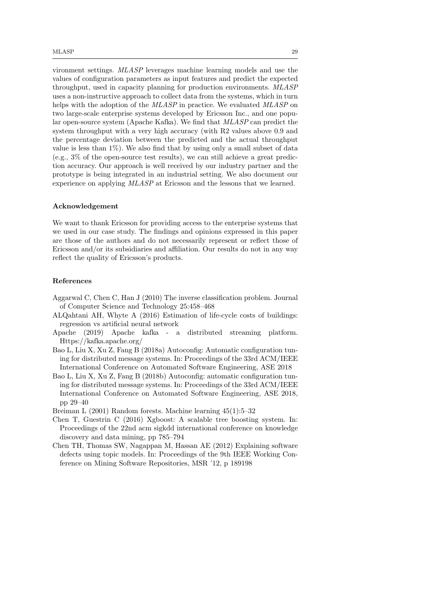vironment settings. MLASP leverages machine learning models and use the values of configuration parameters as input features and predict the expected throughput, used in capacity planning for production environments. MLASP uses a non-instructive approach to collect data from the systems, which in turn helps with the adoption of the MLASP in practice. We evaluated MLASP on two large-scale enterprise systems developed by Ericsson Inc., and one popular open-source system (Apache Kafka). We find that MLASP can predict the system throughput with a very high accuracy (with R2 values above 0.9 and the percentage deviation between the predicted and the actual throughput value is less than  $1\%$ ). We also find that by using only a small subset of data (e.g., 3% of the open-source test results), we can still achieve a great prediction accuracy. Our approach is well received by our industry partner and the prototype is being integrated in an industrial setting. We also document our experience on applying MLASP at Ericsson and the lessons that we learned.

## Acknowledgement

We want to thank Ericsson for providing access to the enterprise systems that we used in our case study. The findings and opinions expressed in this paper are those of the authors and do not necessarily represent or reflect those of Ericsson and/or its subsidiaries and affiliation. Our results do not in any way reflect the quality of Ericsson's products.

#### References

- <span id="page-28-6"></span>Aggarwal C, Chen C, Han J (2010) The inverse classification problem. Journal of Computer Science and Technology 25:458–468
- <span id="page-28-5"></span>ALQahtani AH, Whyte A (2016) Estimation of life-cycle costs of buildings: regression vs artificial neural network
- <span id="page-28-1"></span>Apache (2019) Apache kafka - a distributed streaming platform. Https://kafka.apache.org/
- <span id="page-28-0"></span>Bao L, Liu X, Xu Z, Fang B (2018a) Autoconfig: Automatic configuration tuning for distributed message systems. In: Proceedings of the 33rd ACM/IEEE International Conference on Automated Software Engineering, ASE 2018
- <span id="page-28-2"></span>Bao L, Liu X, Xu Z, Fang B (2018b) Autoconfig: automatic configuration tuning for distributed message systems. In: Proceedings of the 33rd ACM/IEEE International Conference on Automated Software Engineering, ASE 2018, pp 29–40

<span id="page-28-3"></span>Breiman L (2001) Random forests. Machine learning 45(1):5–32

- <span id="page-28-4"></span>Chen T, Guestrin C (2016) Xgboost: A scalable tree boosting system. In: Proceedings of the 22nd acm sigkdd international conference on knowledge discovery and data mining, pp 785–794
- <span id="page-28-7"></span>Chen TH, Thomas SW, Nagappan M, Hassan AE (2012) Explaining software defects using topic models. In: Proceedings of the 9th IEEE Working Conference on Mining Software Repositories, MSR '12, p 189198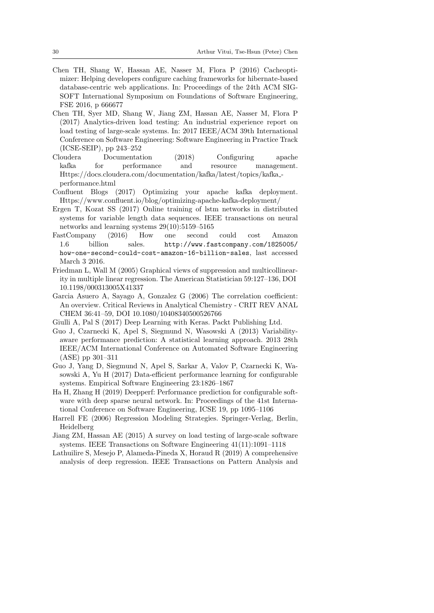- <span id="page-29-6"></span>Chen TH, Shang W, Hassan AE, Nasser M, Flora P (2016) Cacheoptimizer: Helping developers configure caching frameworks for hibernate-based database-centric web applications. In: Proceedings of the 24th ACM SIG-SOFT International Symposium on Foundations of Software Engineering, FSE 2016, p 666677
- <span id="page-29-2"></span>Chen TH, Syer MD, Shang W, Jiang ZM, Hassan AE, Nasser M, Flora P (2017) Analytics-driven load testing: An industrial experience report on load testing of large-scale systems. In: 2017 IEEE/ACM 39th International Conference on Software Engineering: Software Engineering in Practice Track (ICSE-SEIP), pp 243–252
- <span id="page-29-7"></span>Cloudera Documentation (2018) Configuring apache kafka for performance and resource management. Https://docs.cloudera.com/documentation/kafka/latest/topics/kafka performance.html
- <span id="page-29-8"></span>Confluent Blogs (2017) Optimizing your apache kafka deployment. Https://www.confluent.io/blog/optimizing-apache-kafka-deployment/
- <span id="page-29-14"></span>Ergen T, Kozat SS (2017) Online training of lstm networks in distributed systems for variable length data sequences. IEEE transactions on neural networks and learning systems 29(10):5159–5165
- <span id="page-29-0"></span>FastCompany (2016) How one second could cost Amazon 1.6 billion sales. [http://www.fastcompany.com/1825005/](http://www.fastcompany.com/1825005/how-one-second-could-cost-amazon-16-billion-sales) [how-one-second-could-cost-amazon-16-billion-sales](http://www.fastcompany.com/1825005/how-one-second-could-cost-amazon-16-billion-sales), last accessed March 3 2016.
- <span id="page-29-9"></span>Friedman L, Wall M (2005) Graphical views of suppression and multicollinearity in multiple linear regression. The American Statistician 59:127–136, DOI 10.1198/000313005X41337
- <span id="page-29-11"></span>Garcia Asuero A, Sayago A, Gonzalez G (2006) The correlation coefficient: An overview. Critical Reviews in Analytical Chemistry - CRIT REV ANAL CHEM 36:41–59, DOI 10.1080/10408340500526766
- <span id="page-29-13"></span>Giulli A, Pal S (2017) Deep Learning with Keras. Packt Publishing Ltd.
- <span id="page-29-4"></span>Guo J, Czarnecki K, Apel S, Siegmund N, Wasowski A (2013) Variabilityaware performance prediction: A statistical learning approach. 2013 28th IEEE/ACM International Conference on Automated Software Engineering (ASE) pp 301–311
- <span id="page-29-5"></span>Guo J, Yang D, Siegmund N, Apel S, Sarkar A, Valov P, Czarnecki K, Wasowski A, Yu H (2017) Data-efficient performance learning for configurable systems. Empirical Software Engineering 23:1826–1867
- <span id="page-29-3"></span>Ha H, Zhang H (2019) Deepperf: Performance prediction for configurable software with deep sparse neural network. In: Proceedings of the 41st International Conference on Software Engineering, ICSE 19, pp 1095–1106
- <span id="page-29-10"></span>Harrell FE (2006) Regression Modeling Strategies. Springer-Verlag, Berlin, Heidelberg
- <span id="page-29-1"></span>Jiang ZM, Hassan AE (2015) A survey on load testing of large-scale software systems. IEEE Transactions on Software Engineering 41(11):1091–1118
- <span id="page-29-12"></span>Lathuilire S, Mesejo P, Alameda-Pineda X, Horaud R (2019) A comprehensive analysis of deep regression. IEEE Transactions on Pattern Analysis and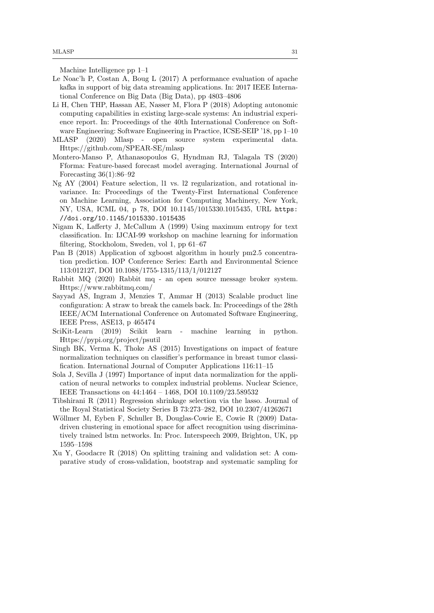Machine Intelligence pp 1–1

- <span id="page-30-3"></span>Le Noac'h P, Costan A, Boug L (2017) A performance evaluation of apache kafka in support of big data streaming applications. In: 2017 IEEE International Conference on Big Data (Big Data), pp 4803–4806
- <span id="page-30-0"></span>Li H, Chen THP, Hassan AE, Nasser M, Flora P (2018) Adopting autonomic computing capabilities in existing large-scale systems: An industrial experience report. In: Proceedings of the 40th International Conference on Software Engineering: Software Engineering in Practice, ICSE-SEIP '18, pp 1–10
- <span id="page-30-2"></span>MLASP (2020) Mlasp - open source system experimental data. Https://github.com/SPEAR-SE/mlasp
- <span id="page-30-7"></span>Montero-Manso P, Athanasopoulos G, Hyndman RJ, Talagala TS (2020) Fforma: Feature-based forecast model averaging. International Journal of Forecasting  $36(1):86-92$
- <span id="page-30-10"></span>Ng AY (2004) Feature selection, l1 vs. l2 regularization, and rotational invariance. In: Proceedings of the Twenty-First International Conference on Machine Learning, Association for Computing Machinery, New York, NY, USA, ICML 04, p 78, DOI 10.1145/1015330.1015435, URL [https:](https://doi.org/10.1145/1015330.1015435) [//doi.org/10.1145/1015330.1015435](https://doi.org/10.1145/1015330.1015435)
- <span id="page-30-12"></span>Nigam K, Lafferty J, McCallum A (1999) Using maximum entropy for text classification. In: IJCAI-99 workshop on machine learning for information filtering, Stockholom, Sweden, vol 1, pp 61–67
- <span id="page-30-8"></span>Pan B (2018) Application of xgboost algorithm in hourly pm2.5 concentration prediction. IOP Conference Series: Earth and Environmental Science 113:012127, DOI 10.1088/1755-1315/113/1/012127
- <span id="page-30-14"></span>Rabbit MQ (2020) Rabbit mq - an open source message broker system. Https://www.rabbitmq.com/
- <span id="page-30-1"></span>Sayyad AS, Ingram J, Menzies T, Ammar H (2013) Scalable product line configuration: A straw to break the camels back. In: Proceedings of the 28th IEEE/ACM International Conference on Automated Software Engineering, IEEE Press, ASE13, p 465474
- <span id="page-30-6"></span>SciKit-Learn (2019) Scikit learn - machine learning in python. Https://pypi.org/project/psutil
- <span id="page-30-4"></span>Singh BK, Verma K, Thoke AS (2015) Investigations on impact of feature normalization techniques on classifier's performance in breast tumor classification. International Journal of Computer Applications 116:11–15
- <span id="page-30-5"></span>Sola J, Sevilla J (1997) Importance of input data normalization for the application of neural networks to complex industrial problems. Nuclear Science, IEEE Transactions on 44:1464 – 1468, DOI 10.1109/23.589532
- <span id="page-30-11"></span>Tibshirani R (2011) Regression shrinkage selection via the lasso. Journal of the Royal Statistical Society Series B 73:273–282, DOI 10.2307/41262671
- <span id="page-30-9"></span>Wöllmer M, Eyben F, Schuller B, Douglas-Cowie E, Cowie R (2009) Datadriven clustering in emotional space for affect recognition using discriminatively trained lstm networks. In: Proc. Interspeech 2009, Brighton, UK, pp 1595–1598
- <span id="page-30-13"></span>Xu Y, Goodacre R (2018) On splitting training and validation set: A comparative study of cross-validation, bootstrap and systematic sampling for